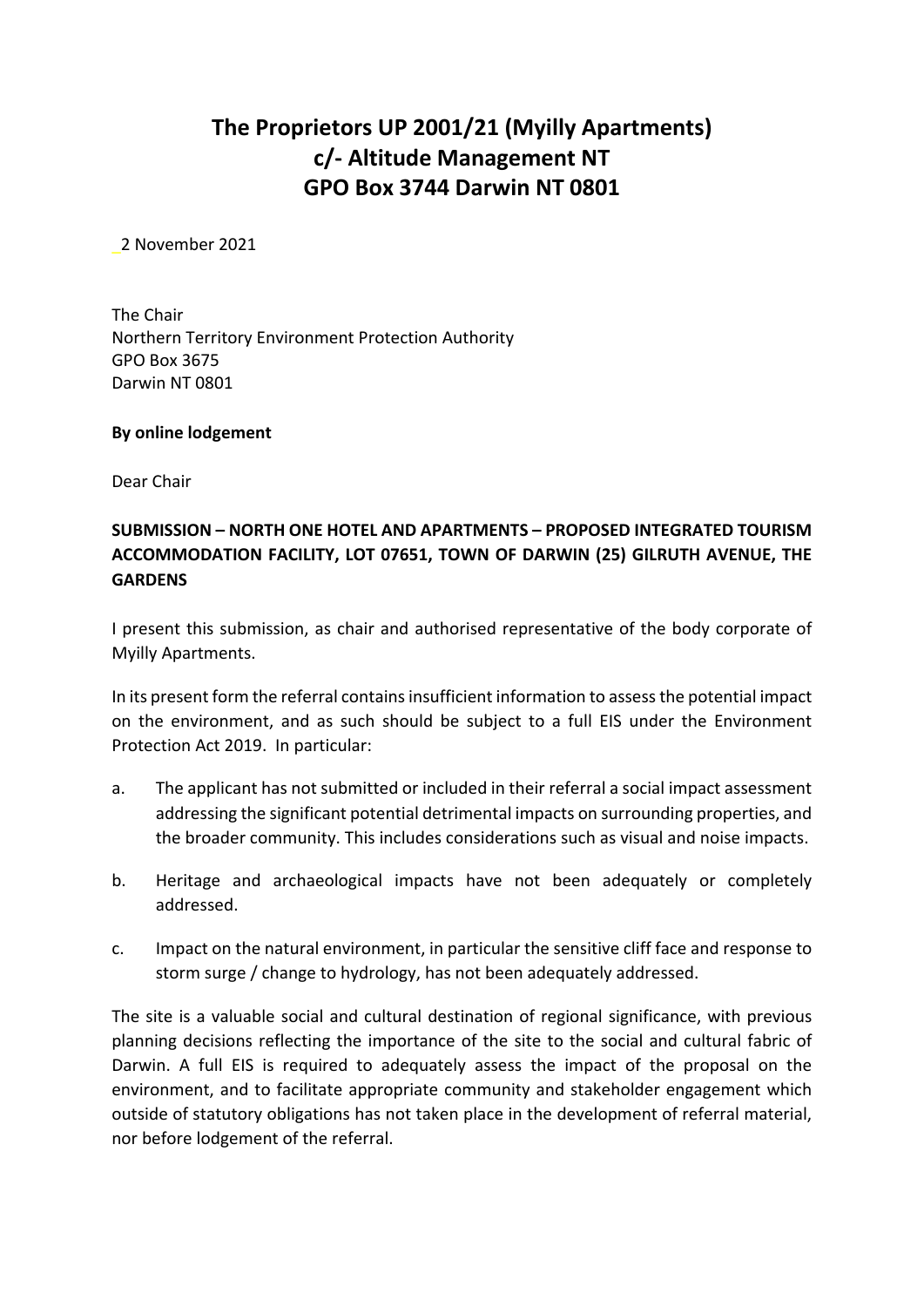# **The Proprietors UP 2001/21 (Myilly Apartments) c/‐ Altitude Management NT GPO Box 3744 Darwin NT 0801**

\_2 November 2021

The Chair Northern Territory Environment Protection Authority GPO Box 3675 Darwin NT 0801

#### **By online lodgement**

Dear Chair

## **SUBMISSION – NORTH ONE HOTEL AND APARTMENTS – PROPOSED INTEGRATED TOURISM ACCOMMODATION FACILITY, LOT 07651, TOWN OF DARWIN (25) GILRUTH AVENUE, THE GARDENS**

I present this submission, as chair and authorised representative of the body corporate of Myilly Apartments.

In its present form the referral contains insufficient information to assess the potential impact on the environment, and as such should be subject to a full EIS under the Environment Protection Act 2019. In particular:

- a. The applicant has not submitted or included in their referral a social impact assessment addressing the significant potential detrimental impacts on surrounding properties, and the broader community. This includes considerations such as visual and noise impacts.
- b. Heritage and archaeological impacts have not been adequately or completely addressed.
- c. Impact on the natural environment, in particular the sensitive cliff face and response to storm surge / change to hydrology, has not been adequately addressed.

The site is a valuable social and cultural destination of regional significance, with previous planning decisions reflecting the importance of the site to the social and cultural fabric of Darwin. A full EIS is required to adequately assess the impact of the proposal on the environment, and to facilitate appropriate community and stakeholder engagement which outside of statutory obligations has not taken place in the development of referral material, nor before lodgement of the referral.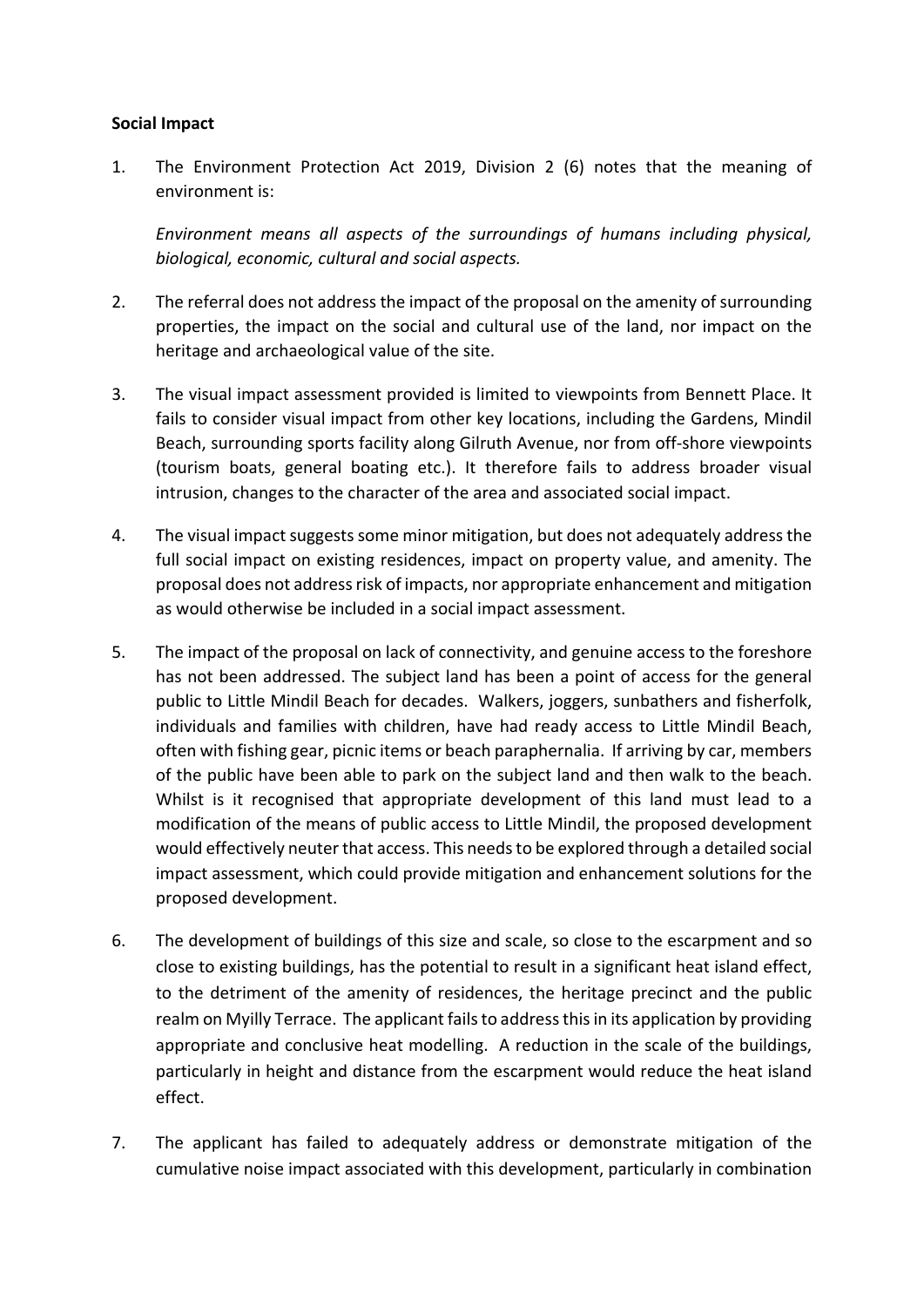#### **Social Impact**

1. The Environment Protection Act 2019, Division 2 (6) notes that the meaning of environment is:

*Environment means all aspects of the surroundings of humans including physical, biological, economic, cultural and social aspects.*

- 2. The referral does not address the impact of the proposal on the amenity of surrounding properties, the impact on the social and cultural use of the land, nor impact on the heritage and archaeological value of the site.
- 3. The visual impact assessment provided is limited to viewpoints from Bennett Place. It fails to consider visual impact from other key locations, including the Gardens, Mindil Beach, surrounding sports facility along Gilruth Avenue, nor from off‐shore viewpoints (tourism boats, general boating etc.). It therefore fails to address broader visual intrusion, changes to the character of the area and associated social impact.
- 4. The visual impactsuggestssome minor mitigation, but does not adequately addressthe full social impact on existing residences, impact on property value, and amenity. The proposal does not address risk of impacts, nor appropriate enhancement and mitigation as would otherwise be included in a social impact assessment.
- 5. The impact of the proposal on lack of connectivity, and genuine access to the foreshore has not been addressed. The subject land has been a point of access for the general public to Little Mindil Beach for decades. Walkers, joggers, sunbathers and fisherfolk, individuals and families with children, have had ready access to Little Mindil Beach, often with fishing gear, picnic items or beach paraphernalia. If arriving by car, members of the public have been able to park on the subject land and then walk to the beach. Whilst is it recognised that appropriate development of this land must lead to a modification of the means of public access to Little Mindil, the proposed development would effectively neuter that access. This needsto be explored through a detailed social impact assessment, which could provide mitigation and enhancement solutions for the proposed development.
- 6. The development of buildings of this size and scale, so close to the escarpment and so close to existing buildings, has the potential to result in a significant heat island effect, to the detriment of the amenity of residences, the heritage precinct and the public realm on Myilly Terrace. The applicant failsto addressthisin its application by providing appropriate and conclusive heat modelling. A reduction in the scale of the buildings, particularly in height and distance from the escarpment would reduce the heat island effect.
- 7. The applicant has failed to adequately address or demonstrate mitigation of the cumulative noise impact associated with this development, particularly in combination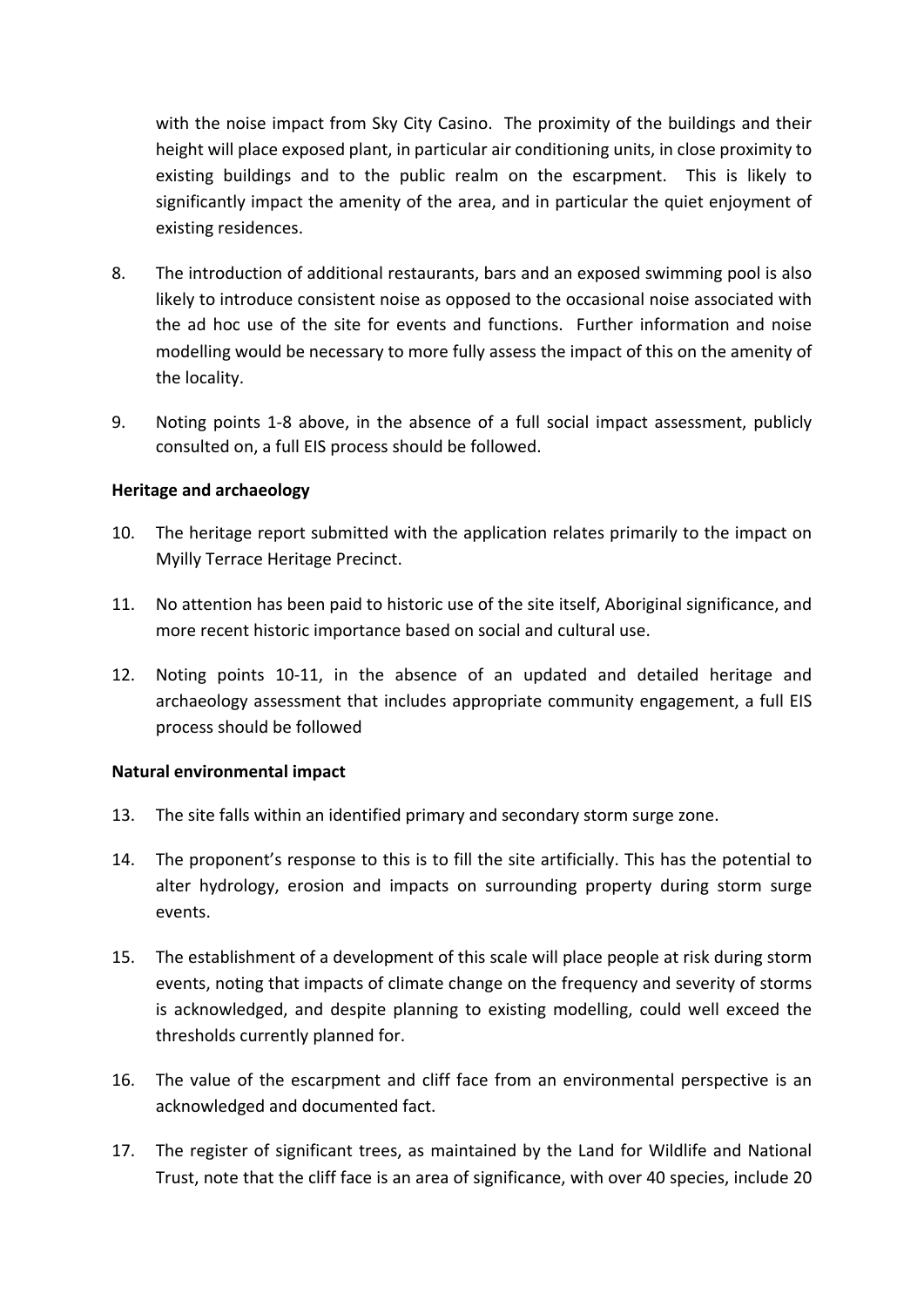with the noise impact from Sky City Casino. The proximity of the buildings and their height will place exposed plant, in particular air conditioning units, in close proximity to existing buildings and to the public realm on the escarpment. This is likely to significantly impact the amenity of the area, and in particular the quiet enjoyment of existing residences.

- 8. The introduction of additional restaurants, bars and an exposed swimming pool is also likely to introduce consistent noise as opposed to the occasional noise associated with the ad hoc use of the site for events and functions. Further information and noise modelling would be necessary to more fully assess the impact of this on the amenity of the locality.
- 9. Noting points 1‐8 above, in the absence of a full social impact assessment, publicly consulted on, a full EIS process should be followed.

#### **Heritage and archaeology**

- 10. The heritage report submitted with the application relates primarily to the impact on Myilly Terrace Heritage Precinct.
- 11. No attention has been paid to historic use of the site itself, Aboriginal significance, and more recent historic importance based on social and cultural use.
- 12. Noting points 10‐11, in the absence of an updated and detailed heritage and archaeology assessment that includes appropriate community engagement, a full EIS process should be followed

#### **Natural environmental impact**

- 13. The site falls within an identified primary and secondary storm surge zone.
- 14. The proponent's response to this is to fill the site artificially. This has the potential to alter hydrology, erosion and impacts on surrounding property during storm surge events.
- 15. The establishment of a development of this scale will place people at risk during storm events, noting that impacts of climate change on the frequency and severity of storms is acknowledged, and despite planning to existing modelling, could well exceed the thresholds currently planned for.
- 16. The value of the escarpment and cliff face from an environmental perspective is an acknowledged and documented fact.
- 17. The register of significant trees, as maintained by the Land for Wildlife and National Trust, note that the cliff face is an area of significance, with over 40 species, include 20